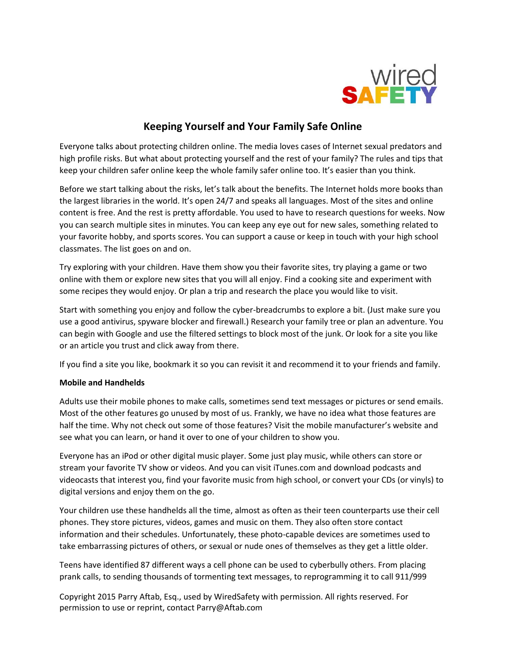

# **Keeping Yourself and Your Family Safe Online**

Everyone talks about protecting children online. The media loves cases of Internet sexual predators and high profile risks. But what about protecting yourself and the rest of your family? The rules and tips that keep your children safer online keep the whole family safer online too. It's easier than you think.

Before we start talking about the risks, let's talk about the benefits. The Internet holds more books than the largest libraries in the world. It's open 24/7 and speaks all languages. Most of the sites and online content is free. And the rest is pretty affordable. You used to have to research questions for weeks. Now you can search multiple sites in minutes. You can keep any eye out for new sales, something related to your favorite hobby, and sports scores. You can support a cause or keep in touch with your high school classmates. The list goes on and on.

Try exploring with your children. Have them show you their favorite sites, try playing a game or two online with them or explore new sites that you will all enjoy. Find a cooking site and experiment with some recipes they would enjoy. Or plan a trip and research the place you would like to visit.

Start with something you enjoy and follow the cyber-breadcrumbs to explore a bit. (Just make sure you use a good antivirus, spyware blocker and firewall.) Research your family tree or plan an adventure. You can begin with Google and use the filtered settings to block most of the junk. Or look for a site you like or an article you trust and click away from there.

If you find a site you like, bookmark it so you can revisit it and recommend it to your friends and family.

### **Mobile and Handhelds**

Adults use their mobile phones to make calls, sometimes send text messages or pictures or send emails. Most of the other features go unused by most of us. Frankly, we have no idea what those features are half the time. Why not check out some of those features? Visit the mobile manufacturer's website and see what you can learn, or hand it over to one of your children to show you.

Everyone has an iPod or other digital music player. Some just play music, while others can store or stream your favorite TV show or videos. And you can visit iTunes.com and download podcasts and videocasts that interest you, find your favorite music from high school, or convert your CDs (or vinyls) to digital versions and enjoy them on the go.

Your children use these handhelds all the time, almost as often as their teen counterparts use their cell phones. They store pictures, videos, games and music on them. They also often store contact information and their schedules. Unfortunately, these photo-capable devices are sometimes used to take embarrassing pictures of others, or sexual or nude ones of themselves as they get a little older.

Teens have identified 87 different ways a cell phone can be used to cyberbully others. From placing prank calls, to sending thousands of tormenting text messages, to reprogramming it to call 911/999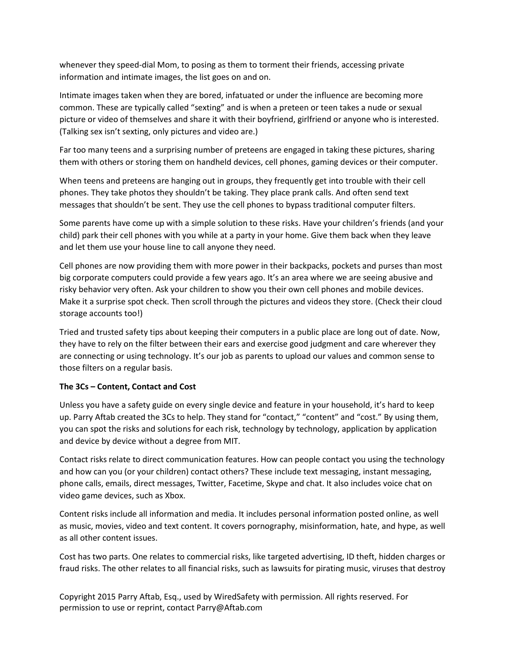whenever they speed-dial Mom, to posing as them to torment their friends, accessing private information and intimate images, the list goes on and on.

Intimate images taken when they are bored, infatuated or under the influence are becoming more common. These are typically called "sexting" and is when a preteen or teen takes a nude or sexual picture or video of themselves and share it with their boyfriend, girlfriend or anyone who is interested. (Talking sex isn't sexting, only pictures and video are.)

Far too many teens and a surprising number of preteens are engaged in taking these pictures, sharing them with others or storing them on handheld devices, cell phones, gaming devices or their computer.

When teens and preteens are hanging out in groups, they frequently get into trouble with their cell phones. They take photos they shouldn't be taking. They place prank calls. And often send text messages that shouldn't be sent. They use the cell phones to bypass traditional computer filters.

Some parents have come up with a simple solution to these risks. Have your children's friends (and your child) park their cell phones with you while at a party in your home. Give them back when they leave and let them use your house line to call anyone they need.

Cell phones are now providing them with more power in their backpacks, pockets and purses than most big corporate computers could provide a few years ago. It's an area where we are seeing abusive and risky behavior very often. Ask your children to show you their own cell phones and mobile devices. Make it a surprise spot check. Then scroll through the pictures and videos they store. (Check their cloud storage accounts too!)

Tried and trusted safety tips about keeping their computers in a public place are long out of date. Now, they have to rely on the filter between their ears and exercise good judgment and care wherever they are connecting or using technology. It's our job as parents to upload our values and common sense to those filters on a regular basis.

# **The 3Cs – Content, Contact and Cost**

Unless you have a safety guide on every single device and feature in your household, it's hard to keep up. Parry Aftab created the 3Cs to help. They stand for "contact," "content" and "cost." By using them, you can spot the risks and solutions for each risk, technology by technology, application by application and device by device without a degree from MIT.

Contact risks relate to direct communication features. How can people contact you using the technology and how can you (or your children) contact others? These include text messaging, instant messaging, phone calls, emails, direct messages, Twitter, Facetime, Skype and chat. It also includes voice chat on video game devices, such as Xbox.

Content risks include all information and media. It includes personal information posted online, as well as music, movies, video and text content. It covers pornography, misinformation, hate, and hype, as well as all other content issues.

Cost has two parts. One relates to commercial risks, like targeted advertising, ID theft, hidden charges or fraud risks. The other relates to all financial risks, such as lawsuits for pirating music, viruses that destroy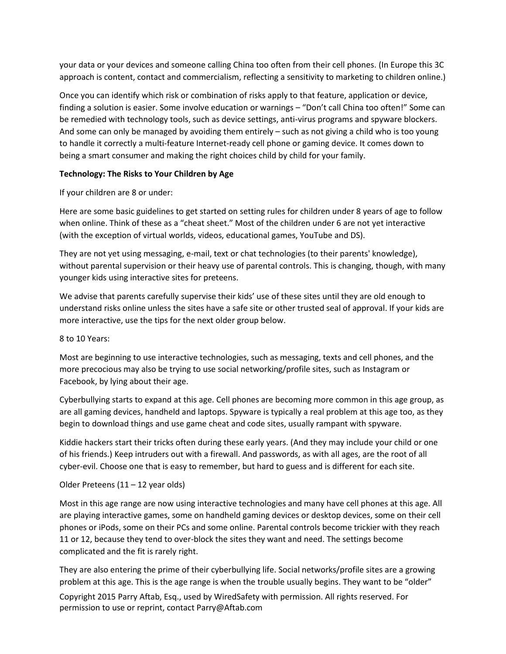your data or your devices and someone calling China too often from their cell phones. (In Europe this 3C approach is content, contact and commercialism, reflecting a sensitivity to marketing to children online.)

Once you can identify which risk or combination of risks apply to that feature, application or device, finding a solution is easier. Some involve education or warnings – "Don't call China too often!" Some can be remedied with technology tools, such as device settings, anti-virus programs and spyware blockers. And some can only be managed by avoiding them entirely – such as not giving a child who is too young to handle it correctly a multi-feature Internet-ready cell phone or gaming device. It comes down to being a smart consumer and making the right choices child by child for your family.

## **Technology: The Risks to Your Children by Age**

If your children are 8 or under:

Here are some basic guidelines to get started on setting rules for children under 8 years of age to follow when online. Think of these as a "cheat sheet." Most of the children under 6 are not yet interactive (with the exception of virtual worlds, videos, educational games, YouTube and DS).

They are not yet using messaging, e-mail, text or chat technologies (to their parents' knowledge), without parental supervision or their heavy use of parental controls. This is changing, though, with many younger kids using interactive sites for preteens.

We advise that parents carefully supervise their kids' use of these sites until they are old enough to understand risks online unless the sites have a safe site or other trusted seal of approval. If your kids are more interactive, use the tips for the next older group below.

### 8 to 10 Years:

Most are beginning to use interactive technologies, such as messaging, texts and cell phones, and the more precocious may also be trying to use social networking/profile sites, such as Instagram or Facebook, by lying about their age.

Cyberbullying starts to expand at this age. Cell phones are becoming more common in this age group, as are all gaming devices, handheld and laptops. Spyware is typically a real problem at this age too, as they begin to download things and use game cheat and code sites, usually rampant with spyware.

Kiddie hackers start their tricks often during these early years. (And they may include your child or one of his friends.) Keep intruders out with a firewall. And passwords, as with all ages, are the root of all cyber-evil. Choose one that is easy to remember, but hard to guess and is different for each site.

### Older Preteens (11 – 12 year olds)

Most in this age range are now using interactive technologies and many have cell phones at this age. All are playing interactive games, some on handheld gaming devices or desktop devices, some on their cell phones or iPods, some on their PCs and some online. Parental controls become trickier with they reach 11 or 12, because they tend to over-block the sites they want and need. The settings become complicated and the fit is rarely right.

They are also entering the prime of their cyberbullying life. Social networks/profile sites are a growing problem at this age. This is the age range is when the trouble usually begins. They want to be "older"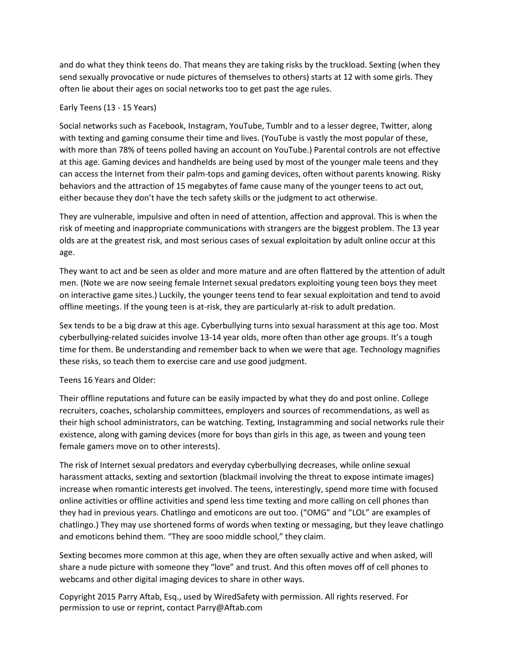and do what they think teens do. That means they are taking risks by the truckload. Sexting (when they send sexually provocative or nude pictures of themselves to others) starts at 12 with some girls. They often lie about their ages on social networks too to get past the age rules.

### Early Teens (13 - 15 Years)

Social networks such as Facebook, Instagram, YouTube, Tumblr and to a lesser degree, Twitter, along with texting and gaming consume their time and lives. (YouTube is vastly the most popular of these, with more than 78% of teens polled having an account on YouTube.) Parental controls are not effective at this age. Gaming devices and handhelds are being used by most of the younger male teens and they can access the Internet from their palm-tops and gaming devices, often without parents knowing. Risky behaviors and the attraction of 15 megabytes of fame cause many of the younger teens to act out, either because they don't have the tech safety skills or the judgment to act otherwise.

They are vulnerable, impulsive and often in need of attention, affection and approval. This is when the risk of meeting and inappropriate communications with strangers are the biggest problem. The 13 year olds are at the greatest risk, and most serious cases of sexual exploitation by adult online occur at this age.

They want to act and be seen as older and more mature and are often flattered by the attention of adult men. (Note we are now seeing female Internet sexual predators exploiting young teen boys they meet on interactive game sites.) Luckily, the younger teens tend to fear sexual exploitation and tend to avoid offline meetings. If the young teen is at-risk, they are particularly at-risk to adult predation.

Sex tends to be a big draw at this age. Cyberbullying turns into sexual harassment at this age too. Most cyberbullying-related suicides involve 13-14 year olds, more often than other age groups. It's a tough time for them. Be understanding and remember back to when we were that age. Technology magnifies these risks, so teach them to exercise care and use good judgment.

# Teens 16 Years and Older:

Their offline reputations and future can be easily impacted by what they do and post online. College recruiters, coaches, scholarship committees, employers and sources of recommendations, as well as their high school administrators, can be watching. Texting, Instagramming and social networks rule their existence, along with gaming devices (more for boys than girls in this age, as tween and young teen female gamers move on to other interests).

The risk of Internet sexual predators and everyday cyberbullying decreases, while online sexual harassment attacks, sexting and sextortion (blackmail involving the threat to expose intimate images) increase when romantic interests get involved. The teens, interestingly, spend more time with focused online activities or offline activities and spend less time texting and more calling on cell phones than they had in previous years. Chatlingo and emoticons are out too. ("OMG" and "LOL" are examples of chatlingo.) They may use shortened forms of words when texting or messaging, but they leave chatlingo and emoticons behind them. "They are sooo middle school," they claim.

Sexting becomes more common at this age, when they are often sexually active and when asked, will share a nude picture with someone they "love" and trust. And this often moves off of cell phones to webcams and other digital imaging devices to share in other ways.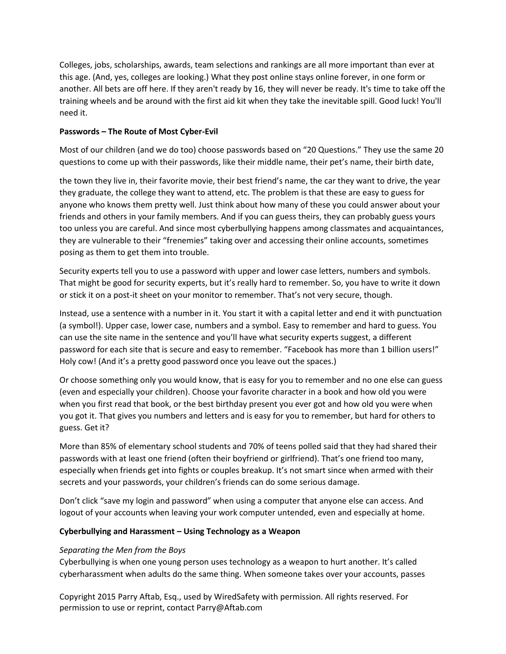Colleges, jobs, scholarships, awards, team selections and rankings are all more important than ever at this age. (And, yes, colleges are looking.) What they post online stays online forever, in one form or another. All bets are off here. If they aren't ready by 16, they will never be ready. It's time to take off the training wheels and be around with the first aid kit when they take the inevitable spill. Good luck! You'll need it.

## **Passwords – The Route of Most Cyber-Evil**

Most of our children (and we do too) choose passwords based on "20 Questions." They use the same 20 questions to come up with their passwords, like their middle name, their pet's name, their birth date,

the town they live in, their favorite movie, their best friend's name, the car they want to drive, the year they graduate, the college they want to attend, etc. The problem is that these are easy to guess for anyone who knows them pretty well. Just think about how many of these you could answer about your friends and others in your family members. And if you can guess theirs, they can probably guess yours too unless you are careful. And since most cyberbullying happens among classmates and acquaintances, they are vulnerable to their "frenemies" taking over and accessing their online accounts, sometimes posing as them to get them into trouble.

Security experts tell you to use a password with upper and lower case letters, numbers and symbols. That might be good for security experts, but it's really hard to remember. So, you have to write it down or stick it on a post-it sheet on your monitor to remember. That's not very secure, though.

Instead, use a sentence with a number in it. You start it with a capital letter and end it with punctuation (a symbol!). Upper case, lower case, numbers and a symbol. Easy to remember and hard to guess. You can use the site name in the sentence and you'll have what security experts suggest, a different password for each site that is secure and easy to remember. "Facebook has more than 1 billion users!" Holy cow! (And it's a pretty good password once you leave out the spaces.)

Or choose something only you would know, that is easy for you to remember and no one else can guess (even and especially your children). Choose your favorite character in a book and how old you were when you first read that book, or the best birthday present you ever got and how old you were when you got it. That gives you numbers and letters and is easy for you to remember, but hard for others to guess. Get it?

More than 85% of elementary school students and 70% of teens polled said that they had shared their passwords with at least one friend (often their boyfriend or girlfriend). That's one friend too many, especially when friends get into fights or couples breakup. It's not smart since when armed with their secrets and your passwords, your children's friends can do some serious damage.

Don't click "save my login and password" when using a computer that anyone else can access. And logout of your accounts when leaving your work computer untended, even and especially at home.

### **Cyberbullying and Harassment – Using Technology as a Weapon**

# *Separating the Men from the Boys*

Cyberbullying is when one young person uses technology as a weapon to hurt another. It's called cyberharassment when adults do the same thing. When someone takes over your accounts, passes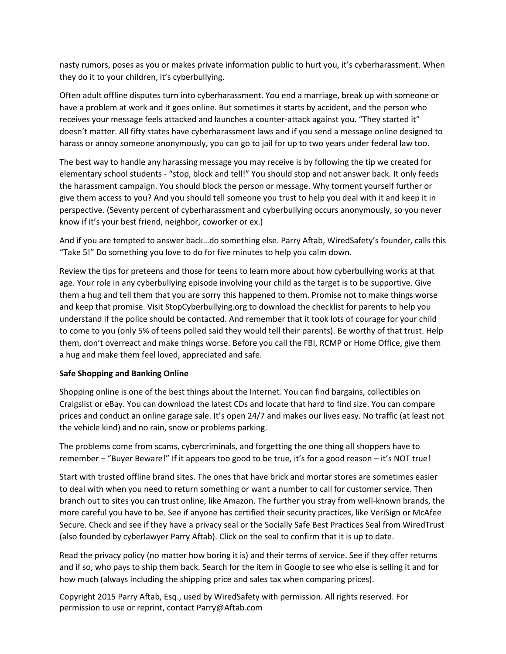nasty rumors, poses as you or makes private information public to hurt you, it's cyberharassment. When they do it to your children, it's cyberbullying.

Often adult offline disputes turn into cyberharassment. You end a marriage, break up with someone or have a problem at work and it goes online. But sometimes it starts by accident, and the person who receives your message feels attacked and launches a counter-attack against you. "They started it" doesn't matter. All fifty states have cyberharassment laws and if you send a message online designed to harass or annoy someone anonymously, you can go to jail for up to two years under federal law too.

The best way to handle any harassing message you may receive is by following the tip we created for elementary school students - "stop, block and tell!" You should stop and not answer back. It only feeds the harassment campaign. You should block the person or message. Why torment yourself further or give them access to you? And you should tell someone you trust to help you deal with it and keep it in perspective. (Seventy percent of cyberharassment and cyberbullying occurs anonymously, so you never know if it's your best friend, neighbor, coworker or ex.)

And if you are tempted to answer back…do something else. Parry Aftab, WiredSafety's founder, calls this "Take 5!" Do something you love to do for five minutes to help you calm down.

Review the tips for preteens and those for teens to learn more about how cyberbullying works at that age. Your role in any cyberbullying episode involving your child as the target is to be supportive. Give them a hug and tell them that you are sorry this happened to them. Promise not to make things worse and keep that promise. Visit StopCyberbullying.org to download the checklist for parents to help you understand if the police should be contacted. And remember that it took lots of courage for your child to come to you (only 5% of teens polled said they would tell their parents). Be worthy of that trust. Help them, don't overreact and make things worse. Before you call the FBI, RCMP or Home Office, give them a hug and make them feel loved, appreciated and safe.

### **Safe Shopping and Banking Online**

Shopping online is one of the best things about the Internet. You can find bargains, collectibles on Craigslist or eBay. You can download the latest CDs and locate that hard to find size. You can compare prices and conduct an online garage sale. It's open 24/7 and makes our lives easy. No traffic (at least not the vehicle kind) and no rain, snow or problems parking.

The problems come from scams, cybercriminals, and forgetting the one thing all shoppers have to remember – "Buyer Beware!" If it appears too good to be true, it's for a good reason – it's NOT true!

Start with trusted offline brand sites. The ones that have brick and mortar stores are sometimes easier to deal with when you need to return something or want a number to call for customer service. Then branch out to sites you can trust online, like Amazon. The further you stray from well-known brands, the more careful you have to be. See if anyone has certified their security practices, like VeriSign or McAfee Secure. Check and see if they have a privacy seal or the Socially Safe Best Practices Seal from WiredTrust (also founded by cyberlawyer Parry Aftab). Click on the seal to confirm that it is up to date.

Read the privacy policy (no matter how boring it is) and their terms of service. See if they offer returns and if so, who pays to ship them back. Search for the item in Google to see who else is selling it and for how much (always including the shipping price and sales tax when comparing prices).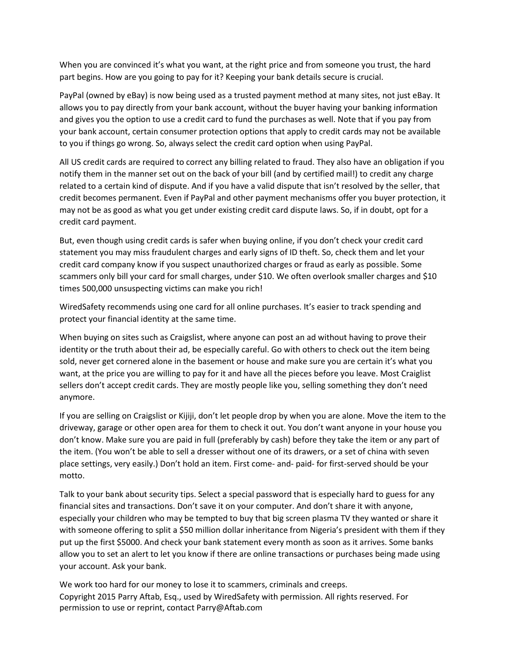When you are convinced it's what you want, at the right price and from someone you trust, the hard part begins. How are you going to pay for it? Keeping your bank details secure is crucial.

PayPal (owned by eBay) is now being used as a trusted payment method at many sites, not just eBay. It allows you to pay directly from your bank account, without the buyer having your banking information and gives you the option to use a credit card to fund the purchases as well. Note that if you pay from your bank account, certain consumer protection options that apply to credit cards may not be available to you if things go wrong. So, always select the credit card option when using PayPal.

All US credit cards are required to correct any billing related to fraud. They also have an obligation if you notify them in the manner set out on the back of your bill (and by certified mail!) to credit any charge related to a certain kind of dispute. And if you have a valid dispute that isn't resolved by the seller, that credit becomes permanent. Even if PayPal and other payment mechanisms offer you buyer protection, it may not be as good as what you get under existing credit card dispute laws. So, if in doubt, opt for a credit card payment.

But, even though using credit cards is safer when buying online, if you don't check your credit card statement you may miss fraudulent charges and early signs of ID theft. So, check them and let your credit card company know if you suspect unauthorized charges or fraud as early as possible. Some scammers only bill your card for small charges, under \$10. We often overlook smaller charges and \$10 times 500,000 unsuspecting victims can make you rich!

WiredSafety recommends using one card for all online purchases. It's easier to track spending and protect your financial identity at the same time.

When buying on sites such as Craigslist, where anyone can post an ad without having to prove their identity or the truth about their ad, be especially careful. Go with others to check out the item being sold, never get cornered alone in the basement or house and make sure you are certain it's what you want, at the price you are willing to pay for it and have all the pieces before you leave. Most Craiglist sellers don't accept credit cards. They are mostly people like you, selling something they don't need anymore.

If you are selling on Craigslist or Kijiji, don't let people drop by when you are alone. Move the item to the driveway, garage or other open area for them to check it out. You don't want anyone in your house you don't know. Make sure you are paid in full (preferably by cash) before they take the item or any part of the item. (You won't be able to sell a dresser without one of its drawers, or a set of china with seven place settings, very easily.) Don't hold an item. First come- and- paid- for first-served should be your motto.

Talk to your bank about security tips. Select a special password that is especially hard to guess for any financial sites and transactions. Don't save it on your computer. And don't share it with anyone, especially your children who may be tempted to buy that big screen plasma TV they wanted or share it with someone offering to split a \$50 million dollar inheritance from Nigeria's president with them if they put up the first \$5000. And check your bank statement every month as soon as it arrives. Some banks allow you to set an alert to let you know if there are online transactions or purchases being made using your account. Ask your bank.

Copyright 2015 Parry Aftab, Esq., used by WiredSafety with permission. All rights reserved. For permission to use or reprint, contact Parry@Aftab.com We work too hard for our money to lose it to scammers, criminals and creeps.